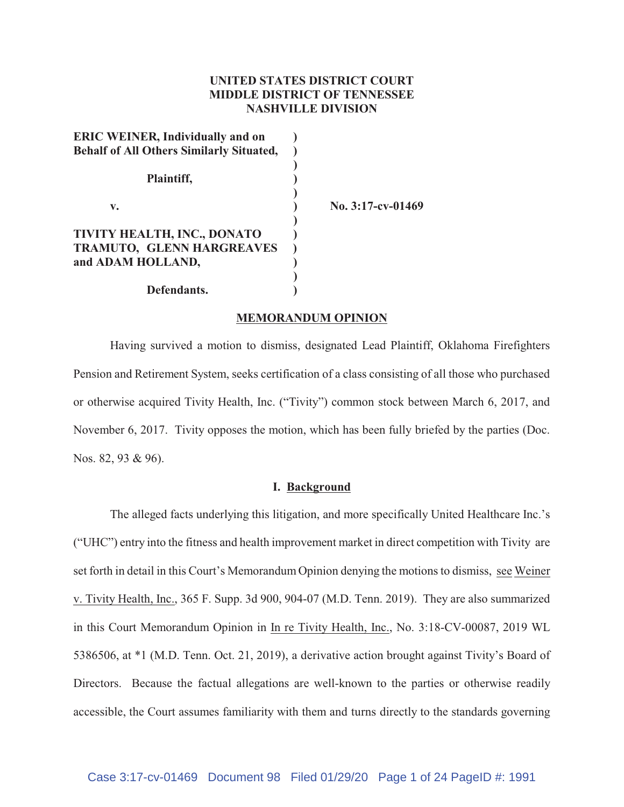# **UNITED STATES DISTRICT COURT MIDDLE DISTRICT OF TENNESSEE NASHVILLE DIVISION**

| <b>ERIC WEINER, Individually and on</b>         |                      |
|-------------------------------------------------|----------------------|
| <b>Behalf of All Others Similarly Situated,</b> |                      |
| Plaintiff,                                      |                      |
| v.                                              | No. $3:17$ -cv-01469 |
| TIVITY HEALTH, INC., DONATO                     |                      |
| TRAMUTO, GLENN HARGREAVES                       |                      |
| and ADAM HOLLAND,                               |                      |
|                                                 |                      |
| Defendants.                                     |                      |

#### **MEMORANDUM OPINION**

Having survived a motion to dismiss, designated Lead Plaintiff, Oklahoma Firefighters Pension and Retirement System, seeks certification of a class consisting of all those who purchased or otherwise acquired Tivity Health, Inc. ("Tivity") common stock between March 6, 2017, and November 6, 2017. Tivity opposes the motion, which has been fully briefed by the parties (Doc. Nos. 82, 93 & 96).

#### **I. Background**

The alleged facts underlying this litigation, and more specifically United Healthcare Inc.'s ("UHC") entry into the fitness and health improvement market in direct competition with Tivity are set forth in detail in this Court's Memorandum Opinion denying the motions to dismiss, see Weiner v. Tivity Health, Inc., 365 F. Supp. 3d 900, 904-07 (M.D. Tenn. 2019). They are also summarized in this Court Memorandum Opinion in In re Tivity Health, Inc., No. 3:18-CV-00087, 2019 WL 5386506, at \*1 (M.D. Tenn. Oct. 21, 2019), a derivative action brought against Tivity's Board of Directors. Because the factual allegations are well-known to the parties or otherwise readily accessible, the Court assumes familiarity with them and turns directly to the standards governing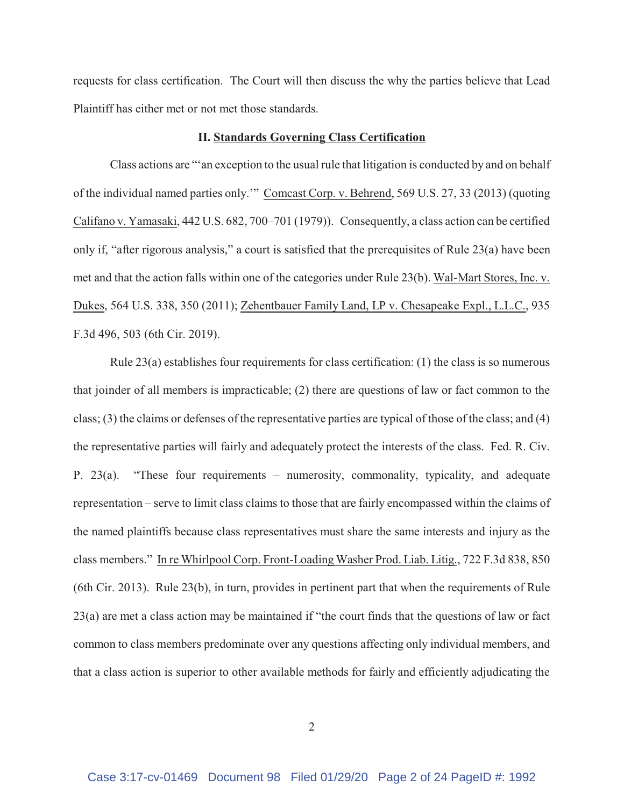requests for class certification. The Court will then discuss the why the parties believe that Lead Plaintiff has either met or not met those standards.

#### **II. Standards Governing Class Certification**

Class actions are "'an exception to the usual rule that litigation is conducted by and on behalf of the individual named parties only.'" Comcast Corp. v. Behrend, 569 U.S. 27, 33 (2013) (quoting Califano v. Yamasaki, 442 U.S. 682, 700–701 (1979)). Consequently, a class action can be certified only if, "after rigorous analysis," a court is satisfied that the prerequisites of Rule 23(a) have been met and that the action falls within one of the categories under Rule 23(b). Wal-Mart Stores, Inc. v. Dukes, 564 U.S. 338, 350 (2011); Zehentbauer Family Land, LP v. Chesapeake Expl., L.L.C., 935 F.3d 496, 503 (6th Cir. 2019).

Rule 23(a) establishes four requirements for class certification: (1) the class is so numerous that joinder of all members is impracticable; (2) there are questions of law or fact common to the class; (3) the claims or defenses of the representative parties are typical of those of the class; and (4) the representative parties will fairly and adequately protect the interests of the class. Fed. R. Civ. P. 23(a). "These four requirements – numerosity, commonality, typicality, and adequate representation – serve to limit class claims to those that are fairly encompassed within the claims of the named plaintiffs because class representatives must share the same interests and injury as the class members." In re Whirlpool Corp. Front-Loading Washer Prod. Liab. Litig., 722 F.3d 838, 850 (6th Cir. 2013). Rule 23(b), in turn, provides in pertinent part that when the requirements of Rule 23(a) are met a class action may be maintained if "the court finds that the questions of law or fact common to class members predominate over any questions affecting only individual members, and that a class action is superior to other available methods for fairly and efficiently adjudicating the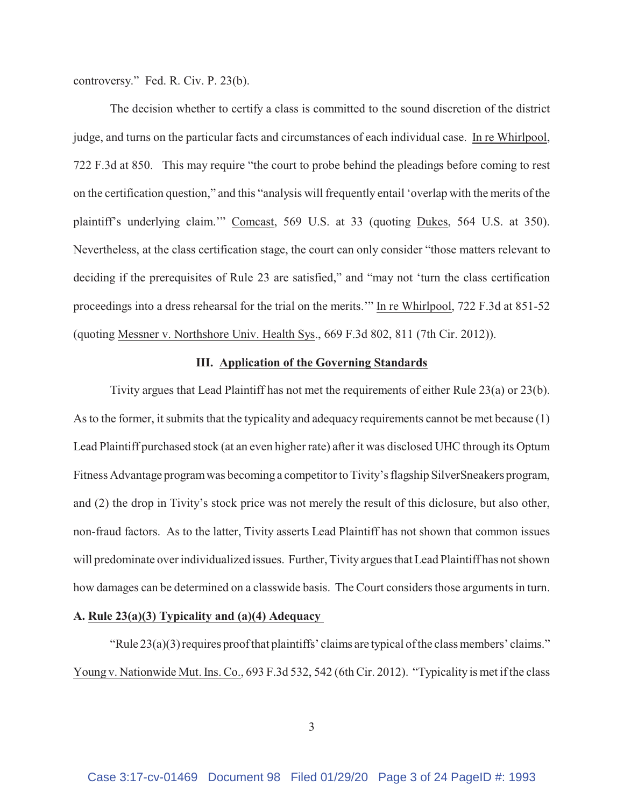controversy." Fed. R. Civ. P. 23(b).

The decision whether to certify a class is committed to the sound discretion of the district judge, and turns on the particular facts and circumstances of each individual case. In re Whirlpool, 722 F.3d at 850. This may require "the court to probe behind the pleadings before coming to rest on the certification question," and this "analysis will frequently entail 'overlap with the merits of the plaintiff's underlying claim.'" Comcast, 569 U.S. at 33 (quoting Dukes, 564 U.S. at 350). Nevertheless, at the class certification stage, the court can only consider "those matters relevant to deciding if the prerequisites of Rule 23 are satisfied," and "may not 'turn the class certification proceedings into a dress rehearsal for the trial on the merits.'" In re Whirlpool, 722 F.3d at 851-52 (quoting Messner v. Northshore Univ. Health Sys., 669 F.3d 802, 811 (7th Cir. 2012)).

## **III. Application of the Governing Standards**

Tivity argues that Lead Plaintiff has not met the requirements of either Rule 23(a) or 23(b). As to the former, it submits that the typicality and adequacy requirements cannot be met because (1) Lead Plaintiff purchased stock (at an even higher rate) after it was disclosed UHC through its Optum Fitness Advantage program was becoming a competitor to Tivity's flagship SilverSneakers program, and (2) the drop in Tivity's stock price was not merely the result of this diclosure, but also other, non-fraud factors. As to the latter, Tivity asserts Lead Plaintiff has not shown that common issues will predominate over individualized issues. Further, Tivity argues that Lead Plaintiff has not shown how damages can be determined on a classwide basis. The Court considers those arguments in turn.

### **A. Rule 23(a)(3) Typicality and (a)(4) Adequacy**

"Rule 23(a)(3) requires proof that plaintiffs' claims are typical of the class members' claims." Young v. Nationwide Mut. Ins. Co., 693 F.3d 532, 542 (6th Cir. 2012). "Typicality is met if the class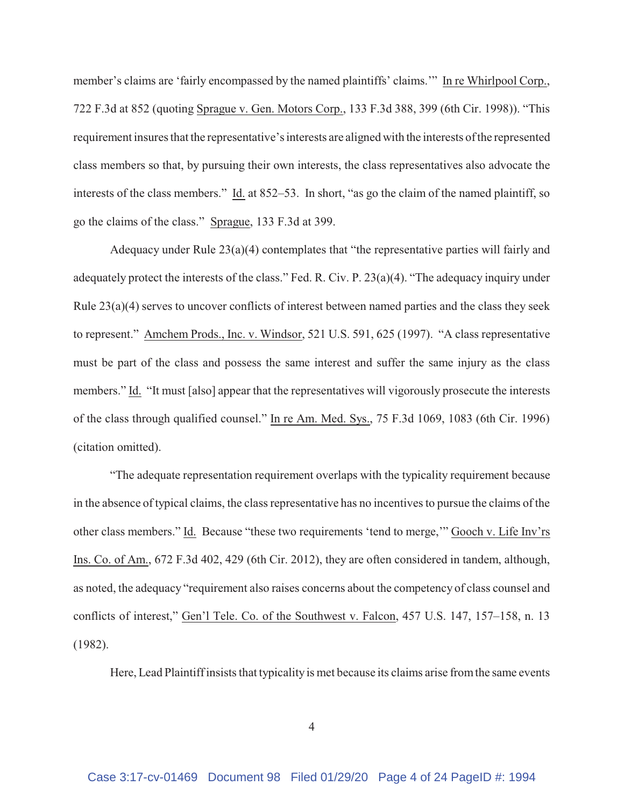member's claims are 'fairly encompassed by the named plaintiffs' claims.'" In re Whirlpool Corp., 722 F.3d at 852 (quoting Sprague v. Gen. Motors Corp., 133 F.3d 388, 399 (6th Cir. 1998)). "This requirement insures that the representative's interests are aligned with the interests of the represented class members so that, by pursuing their own interests, the class representatives also advocate the interests of the class members." Id. at 852–53. In short, "as go the claim of the named plaintiff, so go the claims of the class." Sprague, 133 F.3d at 399.

Adequacy under Rule 23(a)(4) contemplates that "the representative parties will fairly and adequately protect the interests of the class." Fed. R. Civ. P. 23(a)(4). "The adequacy inquiry under Rule 23(a)(4) serves to uncover conflicts of interest between named parties and the class they seek to represent." Amchem Prods., Inc. v. Windsor, 521 U.S. 591, 625 (1997). "A class representative must be part of the class and possess the same interest and suffer the same injury as the class members." Id. "It must [also] appear that the representatives will vigorously prosecute the interests of the class through qualified counsel." In re Am. Med. Sys., 75 F.3d 1069, 1083 (6th Cir. 1996) (citation omitted).

"The adequate representation requirement overlaps with the typicality requirement because in the absence of typical claims, the class representative has no incentives to pursue the claims of the other class members." Id. Because "these two requirements 'tend to merge,'" Gooch v. Life Inv'rs Ins. Co. of Am., 672 F.3d 402, 429 (6th Cir. 2012), they are often considered in tandem, although, as noted, the adequacy "requirement also raises concerns about the competency of class counsel and conflicts of interest," Gen'l Tele. Co. of the Southwest v. Falcon, 457 U.S. 147, 157–158, n. 13 (1982).

Here, Lead Plaintiff insists that typicality is met because its claims arise from the same events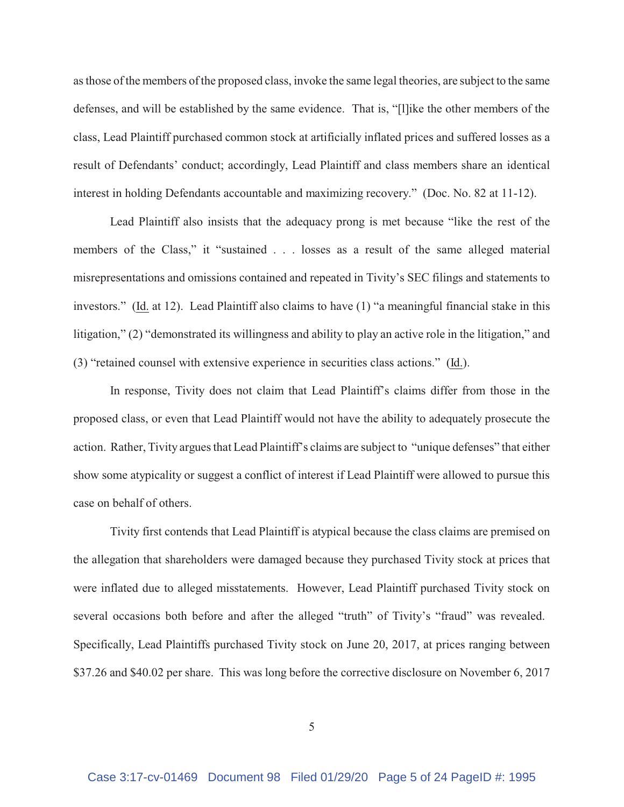as those of the members of the proposed class, invoke the same legal theories, are subject to the same defenses, and will be established by the same evidence. That is, "[l]ike the other members of the class, Lead Plaintiff purchased common stock at artificially inflated prices and suffered losses as a result of Defendants' conduct; accordingly, Lead Plaintiff and class members share an identical interest in holding Defendants accountable and maximizing recovery." (Doc. No. 82 at 11-12).

Lead Plaintiff also insists that the adequacy prong is met because "like the rest of the members of the Class," it "sustained . . . losses as a result of the same alleged material misrepresentations and omissions contained and repeated in Tivity's SEC filings and statements to investors." (Id. at 12). Lead Plaintiff also claims to have (1) "a meaningful financial stake in this litigation," (2) "demonstrated its willingness and ability to play an active role in the litigation," and (3) "retained counsel with extensive experience in securities class actions." (Id.).

In response, Tivity does not claim that Lead Plaintiff's claims differ from those in the proposed class, or even that Lead Plaintiff would not have the ability to adequately prosecute the action. Rather, Tivity argues that Lead Plaintiff's claims are subject to "unique defenses" that either show some atypicality or suggest a conflict of interest if Lead Plaintiff were allowed to pursue this case on behalf of others.

Tivity first contends that Lead Plaintiff is atypical because the class claims are premised on the allegation that shareholders were damaged because they purchased Tivity stock at prices that were inflated due to alleged misstatements. However, Lead Plaintiff purchased Tivity stock on several occasions both before and after the alleged "truth" of Tivity's "fraud" was revealed. Specifically, Lead Plaintiffs purchased Tivity stock on June 20, 2017, at prices ranging between \$37.26 and \$40.02 per share. This was long before the corrective disclosure on November 6, 2017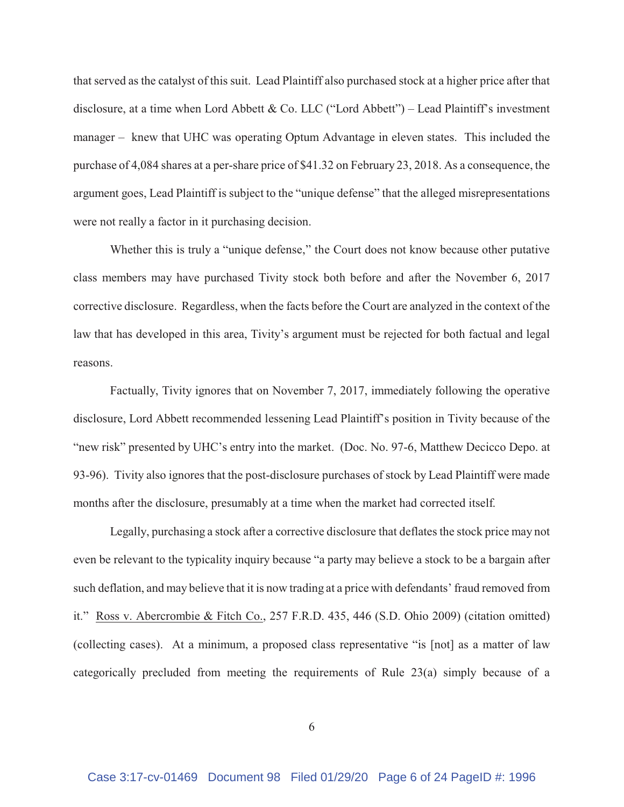that served as the catalyst of this suit. Lead Plaintiff also purchased stock at a higher price after that disclosure, at a time when Lord Abbett & Co. LLC ("Lord Abbett") – Lead Plaintiff's investment manager – knew that UHC was operating Optum Advantage in eleven states. This included the purchase of 4,084 shares at a per-share price of \$41.32 on February 23, 2018. As a consequence, the argument goes, Lead Plaintiff is subject to the "unique defense" that the alleged misrepresentations were not really a factor in it purchasing decision.

Whether this is truly a "unique defense," the Court does not know because other putative class members may have purchased Tivity stock both before and after the November 6, 2017 corrective disclosure. Regardless, when the facts before the Court are analyzed in the context of the law that has developed in this area, Tivity's argument must be rejected for both factual and legal reasons.

Factually, Tivity ignores that on November 7, 2017, immediately following the operative disclosure, Lord Abbett recommended lessening Lead Plaintiff's position in Tivity because of the "new risk" presented by UHC's entry into the market. (Doc. No. 97-6, Matthew Decicco Depo. at 93-96). Tivity also ignores that the post-disclosure purchases of stock by Lead Plaintiff were made months after the disclosure, presumably at a time when the market had corrected itself.

Legally, purchasing a stock after a corrective disclosure that deflates the stock price may not even be relevant to the typicality inquiry because "a party may believe a stock to be a bargain after such deflation, and may believe that it is now trading at a price with defendants' fraud removed from it." Ross v. Abercrombie & Fitch Co., 257 F.R.D. 435, 446 (S.D. Ohio 2009) (citation omitted) (collecting cases). At a minimum, a proposed class representative "is [not] as a matter of law categorically precluded from meeting the requirements of Rule 23(a) simply because of a

6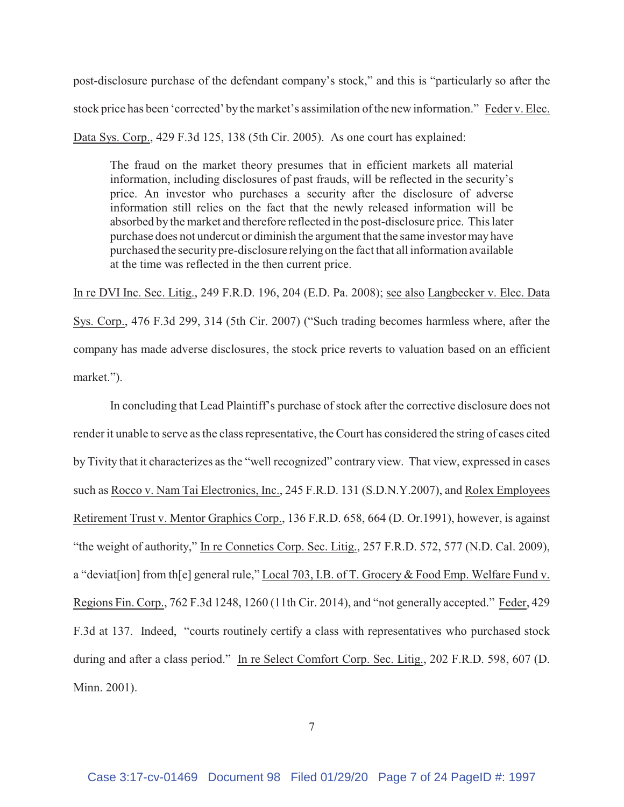post-disclosure purchase of the defendant company's stock," and this is "particularly so after the stock price has been 'corrected' by the market's assimilation of the new information." Feder v. Elec. Data Sys. Corp., 429 F.3d 125, 138 (5th Cir. 2005). As one court has explained:

The fraud on the market theory presumes that in efficient markets all material information, including disclosures of past frauds, will be reflected in the security's price. An investor who purchases a security after the disclosure of adverse information still relies on the fact that the newly released information will be absorbed by the market and therefore reflected in the post-disclosure price. This later purchase does not undercut or diminish the argument that the same investor may have purchased the security pre-disclosure relying on the fact that all information available at the time was reflected in the then current price.

In re DVI Inc. Sec. Litig., 249 F.R.D. 196, 204 (E.D. Pa. 2008); see also Langbecker v. Elec. Data Sys. Corp., 476 F.3d 299, 314 (5th Cir. 2007) ("Such trading becomes harmless where, after the company has made adverse disclosures, the stock price reverts to valuation based on an efficient market.").

In concluding that Lead Plaintiff's purchase of stock after the corrective disclosure does not render it unable to serve as the class representative, the Court has considered the string of cases cited by Tivity that it characterizes as the "well recognized" contrary view. That view, expressed in cases such as Rocco v. Nam Tai Electronics, Inc., 245 F.R.D. 131 (S.D.N.Y.2007), and Rolex Employees Retirement Trust v. Mentor Graphics Corp., 136 F.R.D. 658, 664 (D. Or.1991), however, is against "the weight of authority," In re Connetics Corp. Sec. Litig., 257 F.R.D. 572, 577 (N.D. Cal. 2009), a "deviat[ion] from th[e] general rule," Local 703, I.B. of T. Grocery & Food Emp. Welfare Fund v. Regions Fin. Corp., 762 F.3d 1248, 1260 (11th Cir. 2014), and "not generally accepted." Feder, 429 F.3d at 137. Indeed, "courts routinely certify a class with representatives who purchased stock during and after a class period." In re Select Comfort Corp. Sec. Litig., 202 F.R.D. 598, 607 (D. Minn. 2001).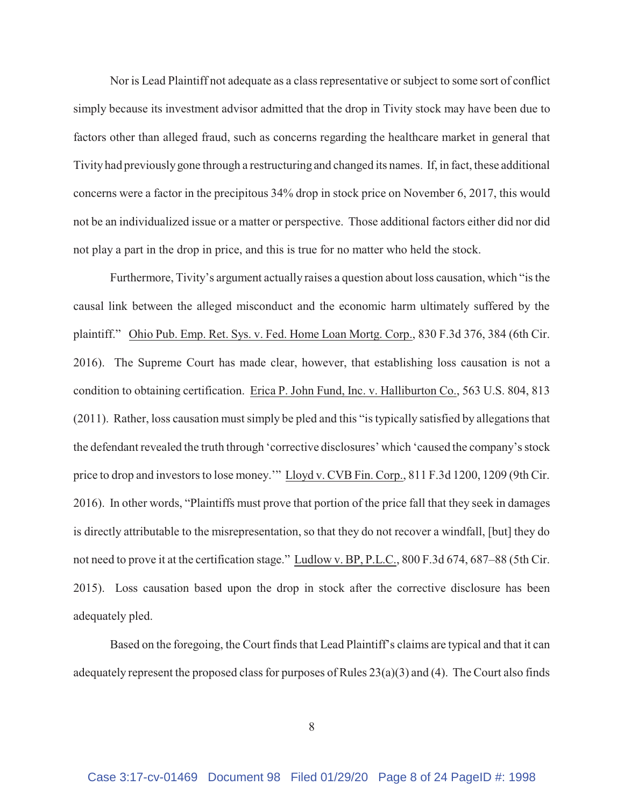Nor is Lead Plaintiff not adequate as a class representative or subject to some sort of conflict simply because its investment advisor admitted that the drop in Tivity stock may have been due to factors other than alleged fraud, such as concerns regarding the healthcare market in general that Tivity had previously gone through a restructuring and changed its names. If, in fact, these additional concerns were a factor in the precipitous 34% drop in stock price on November 6, 2017, this would not be an individualized issue or a matter or perspective. Those additional factors either did nor did not play a part in the drop in price, and this is true for no matter who held the stock.

Furthermore, Tivity's argument actually raises a question about loss causation, which "is the causal link between the alleged misconduct and the economic harm ultimately suffered by the plaintiff." Ohio Pub. Emp. Ret. Sys. v. Fed. Home Loan Mortg. Corp., 830 F.3d 376, 384 (6th Cir. 2016). The Supreme Court has made clear, however, that establishing loss causation is not a condition to obtaining certification. Erica P. John Fund, Inc. v. Halliburton Co., 563 U.S. 804, 813 (2011). Rather, loss causation must simply be pled and this "is typically satisfied by allegations that the defendant revealed the truth through 'corrective disclosures' which 'caused the company's stock price to drop and investors to lose money.'" Lloyd v. CVB Fin. Corp., 811 F.3d 1200, 1209 (9th Cir. 2016). In other words, "Plaintiffs must prove that portion of the price fall that they seek in damages is directly attributable to the misrepresentation, so that they do not recover a windfall, [but] they do not need to prove it at the certification stage." Ludlow v. BP, P.L.C., 800 F.3d 674, 687–88 (5th Cir. 2015). Loss causation based upon the drop in stock after the corrective disclosure has been adequately pled.

Based on the foregoing, the Court finds that Lead Plaintiff's claims are typical and that it can adequately represent the proposed class for purposes of Rules 23(a)(3) and (4). The Court also finds

8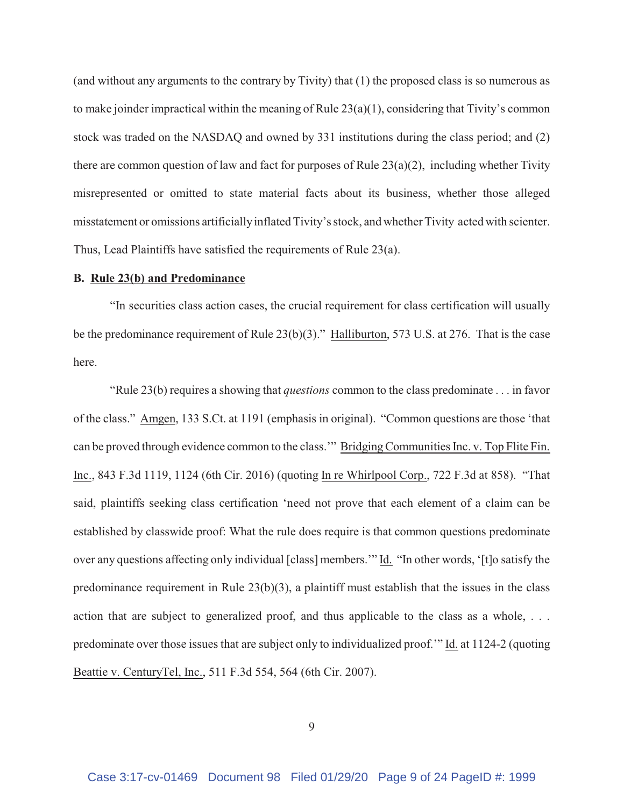(and without any arguments to the contrary by Tivity) that (1) the proposed class is so numerous as to make joinder impractical within the meaning of Rule 23(a)(1), considering that Tivity's common stock was traded on the NASDAQ and owned by 331 institutions during the class period; and (2) there are common question of law and fact for purposes of Rule 23(a)(2), including whether Tivity misrepresented or omitted to state material facts about its business, whether those alleged misstatement or omissions artificially inflated Tivity's stock, and whether Tivity acted with scienter. Thus, Lead Plaintiffs have satisfied the requirements of Rule 23(a).

#### **B. Rule 23(b) and Predominance**

"In securities class action cases, the crucial requirement for class certification will usually be the predominance requirement of Rule 23(b)(3)." Halliburton, 573 U.S. at 276. That is the case here.

"Rule 23(b) requires a showing that *questions* common to the class predominate . . . in favor of the class." Amgen, 133 S.Ct. at 1191 (emphasis in original). "Common questions are those 'that can be proved through evidence common to the class.'" Bridging Communities Inc. v. Top Flite Fin. Inc., 843 F.3d 1119, 1124 (6th Cir. 2016) (quoting In re Whirlpool Corp., 722 F.3d at 858). "That said, plaintiffs seeking class certification 'need not prove that each element of a claim can be established by classwide proof: What the rule does require is that common questions predominate over any questions affecting only individual [class] members.'" Id. "In other words, '[t]o satisfy the predominance requirement in Rule 23(b)(3), a plaintiff must establish that the issues in the class action that are subject to generalized proof, and thus applicable to the class as a whole, . . . predominate over those issues that are subject only to individualized proof.'" Id. at 1124-2 (quoting Beattie v. CenturyTel, Inc., 511 F.3d 554, 564 (6th Cir. 2007).

9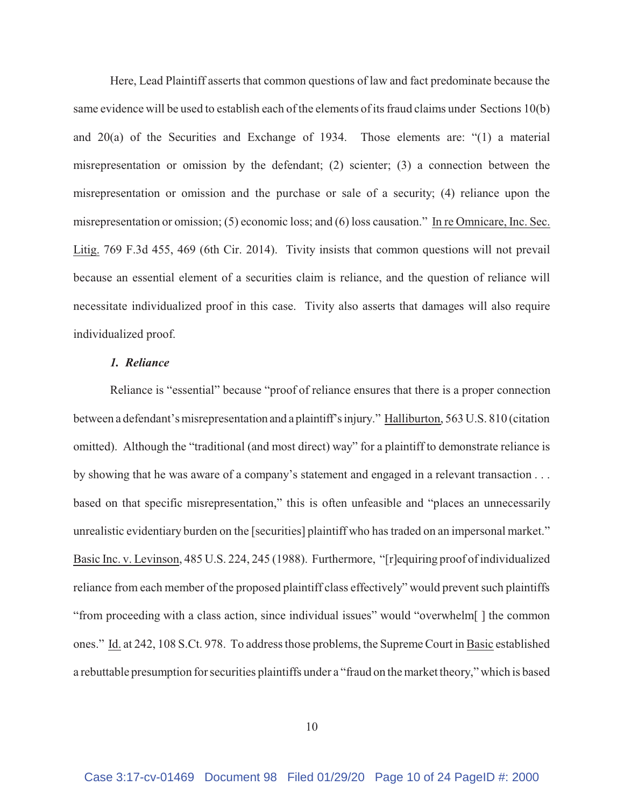Here, Lead Plaintiff asserts that common questions of law and fact predominate because the same evidence will be used to establish each of the elements of its fraud claims under Sections 10(b) and 20(a) of the Securities and Exchange of 1934. Those elements are: "(1) a material misrepresentation or omission by the defendant; (2) scienter; (3) a connection between the misrepresentation or omission and the purchase or sale of a security; (4) reliance upon the misrepresentation or omission; (5) economic loss; and (6) loss causation." In re Omnicare, Inc. Sec. Litig. 769 F.3d 455, 469 (6th Cir. 2014). Tivity insists that common questions will not prevail because an essential element of a securities claim is reliance, and the question of reliance will necessitate individualized proof in this case. Tivity also asserts that damages will also require individualized proof.

Reliance is "essential" because "proof of reliance ensures that there is a proper connection between a defendant's misrepresentation and a plaintiff's injury." Halliburton, 563 U.S. 810 (citation omitted). Although the "traditional (and most direct) way" for a plaintiff to demonstrate reliance is by showing that he was aware of a company's statement and engaged in a relevant transaction . . . based on that specific misrepresentation," this is often unfeasible and "places an unnecessarily unrealistic evidentiary burden on the [securities] plaintiff who has traded on an impersonal market." Basic Inc. v. Levinson, 485 U.S. 224, 245 (1988). Furthermore, "[r]equiring proof of individualized reliance from each member of the proposed plaintiff class effectively" would prevent such plaintiffs "from proceeding with a class action, since individual issues" would "overwhelm[ ] the common ones." Id. at 242, 108 S.Ct. 978. To address those problems, the Supreme Court in Basic established a rebuttable presumption for securities plaintiffs under a "fraud on the market theory," which is based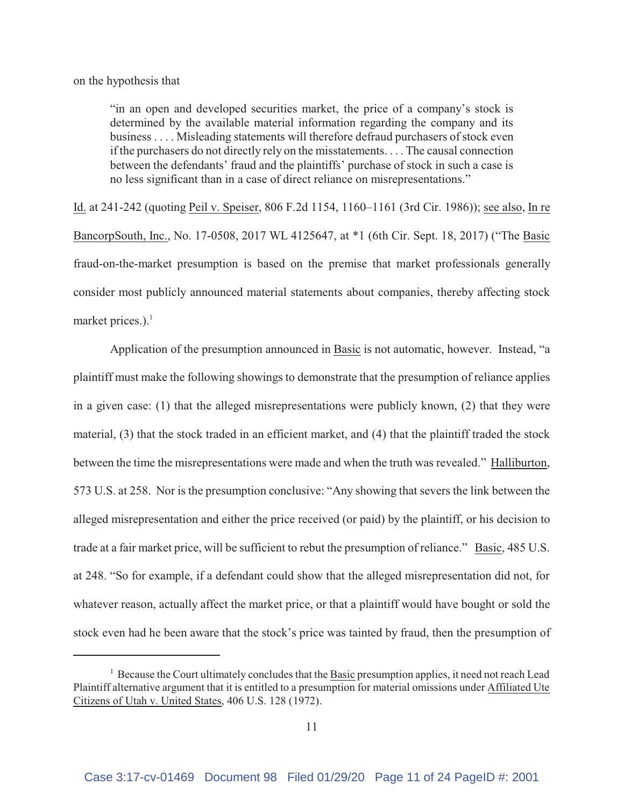on the hypothesis that

"in an open and developed securities market, the price of a company's stock is determined by the available material information regarding the company and its business . . . . Misleading statements will therefore defraud purchasers of stock even if the purchasers do not directly rely on the misstatements. . . . The causal connection between the defendants' fraud and the plaintiffs' purchase of stock in such a case is no less significant than in a case of direct reliance on misrepresentations."

Id. at 241-242 (quoting Peil v. Speiser, 806 F.2d 1154, 1160–1161 (3rd Cir. 1986)); see also, In re BancorpSouth, Inc., No. 17-0508, 2017 WL 4125647, at \*1 (6th Cir. Sept. 18, 2017) ("The Basic fraud-on-the-market presumption is based on the premise that market professionals generally consider most publicly announced material statements about companies, thereby affecting stock market prices.). $<sup>1</sup>$ </sup>

Application of the presumption announced in Basic is not automatic, however. Instead, "a plaintiff must make the following showings to demonstrate that the presumption of reliance applies in a given case: (1) that the alleged misrepresentations were publicly known, (2) that they were material, (3) that the stock traded in an efficient market, and (4) that the plaintiff traded the stock between the time the misrepresentations were made and when the truth was revealed." Halliburton, 573 U.S. at 258. Nor is the presumption conclusive: "Any showing that severs the link between the alleged misrepresentation and either the price received (or paid) by the plaintiff, or his decision to trade at a fair market price, will be sufficient to rebut the presumption of reliance." Basic, 485 U.S. at 248. "So for example, if a defendant could show that the alleged misrepresentation did not, for whatever reason, actually affect the market price, or that a plaintiff would have bought or sold the stock even had he been aware that the stock's price was tainted by fraud, then the presumption of

<sup>&</sup>lt;sup>1</sup> Because the Court ultimately concludes that the Basic presumption applies, it need not reach Lead Plaintiff alternative argument that it is entitled to a presumption for material omissions under Affiliated Ute Citizens of Utah v. United States, 406 U.S. 128 (1972).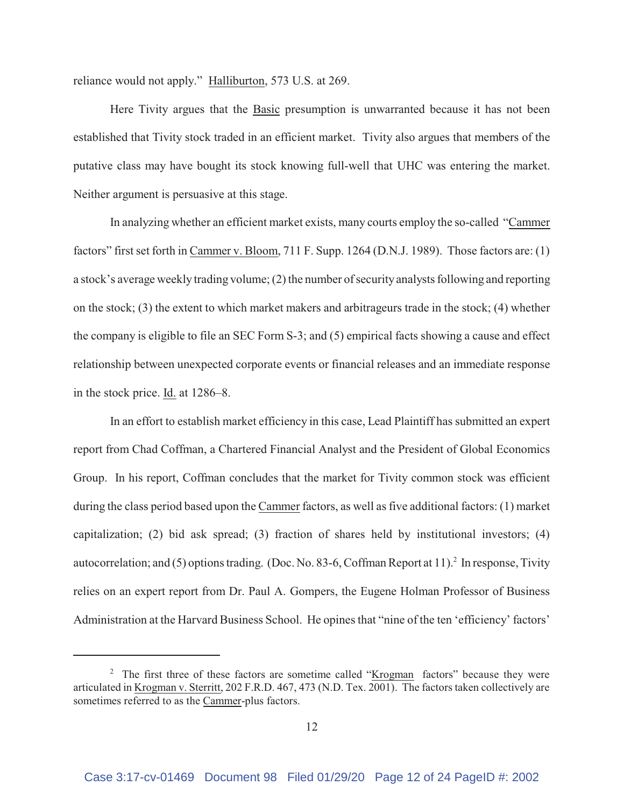reliance would not apply." Halliburton, 573 U.S. at 269.

Here Tivity argues that the Basic presumption is unwarranted because it has not been established that Tivity stock traded in an efficient market. Tivity also argues that members of the putative class may have bought its stock knowing full-well that UHC was entering the market. Neither argument is persuasive at this stage.

In analyzing whether an efficient market exists, many courts employ the so-called "Cammer factors" first set forth in Cammer v. Bloom, 711 F. Supp. 1264 (D.N.J. 1989). Those factors are: (1) a stock's average weekly trading volume; (2) the number of security analysts following and reporting on the stock; (3) the extent to which market makers and arbitrageurs trade in the stock; (4) whether the company is eligible to file an SEC Form S-3; and (5) empirical facts showing a cause and effect relationship between unexpected corporate events or financial releases and an immediate response in the stock price. Id. at 1286–8.

In an effort to establish market efficiency in this case, Lead Plaintiff has submitted an expert report from Chad Coffman, a Chartered Financial Analyst and the President of Global Economics Group. In his report, Coffman concludes that the market for Tivity common stock was efficient during the class period based upon the Cammer factors, as well as five additional factors: (1) market capitalization; (2) bid ask spread; (3) fraction of shares held by institutional investors; (4) autocorrelation; and (5) options trading. (Doc. No. 83-6, Coffman Report at 11). In response, Tivity relies on an expert report from Dr. Paul A. Gompers, the Eugene Holman Professor of Business Administration at the Harvard Business School. He opines that "nine of the ten 'efficiency' factors'

<sup>&</sup>lt;sup>2</sup> The first three of these factors are sometime called "Krogman factors" because they were articulated in Krogman v. Sterritt, 202 F.R.D. 467, 473 (N.D. Tex. 2001). The factors taken collectively are sometimes referred to as the Cammer-plus factors.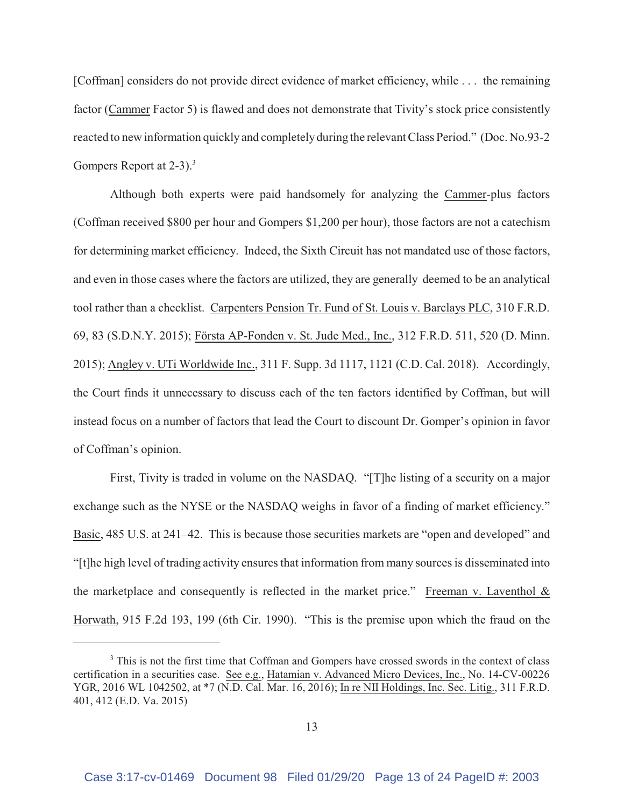[Coffman] considers do not provide direct evidence of market efficiency, while . . . the remaining factor (Cammer Factor 5) is flawed and does not demonstrate that Tivity's stock price consistently reacted to new information quickly and completely during the relevant Class Period." (Doc. No.93-2 Gompers Report at 2-3).<sup>3</sup>

Although both experts were paid handsomely for analyzing the Cammer-plus factors (Coffman received \$800 per hour and Gompers \$1,200 per hour), those factors are not a catechism for determining market efficiency. Indeed, the Sixth Circuit has not mandated use of those factors, and even in those cases where the factors are utilized, they are generally deemed to be an analytical tool rather than a checklist. Carpenters Pension Tr. Fund of St. Louis v. Barclays PLC, 310 F.R.D. 69, 83 (S.D.N.Y. 2015); Första AP-Fonden v. St. Jude Med., Inc., 312 F.R.D. 511, 520 (D. Minn. 2015); Angley v. UTi Worldwide Inc., 311 F. Supp. 3d 1117, 1121 (C.D. Cal. 2018). Accordingly, the Court finds it unnecessary to discuss each of the ten factors identified by Coffman, but will instead focus on a number of factors that lead the Court to discount Dr. Gomper's opinion in favor of Coffman's opinion.

First, Tivity is traded in volume on the NASDAQ. "[T]he listing of a security on a major exchange such as the NYSE or the NASDAQ weighs in favor of a finding of market efficiency." Basic, 485 U.S. at 241–42. This is because those securities markets are "open and developed" and "[t]he high level of trading activity ensures that information from many sources is disseminated into the marketplace and consequently is reflected in the market price." Freeman v. Laventhol  $\&$ Horwath, 915 F.2d 193, 199 (6th Cir. 1990). "This is the premise upon which the fraud on the

<sup>&</sup>lt;sup>3</sup> This is not the first time that Coffman and Gompers have crossed swords in the context of class certification in a securities case. See e.g., Hatamian v. Advanced Micro Devices, Inc., No. 14-CV-00226 YGR, 2016 WL 1042502, at \*7 (N.D. Cal. Mar. 16, 2016); In re NII Holdings, Inc. Sec. Litig., 311 F.R.D. 401, 412 (E.D. Va. 2015)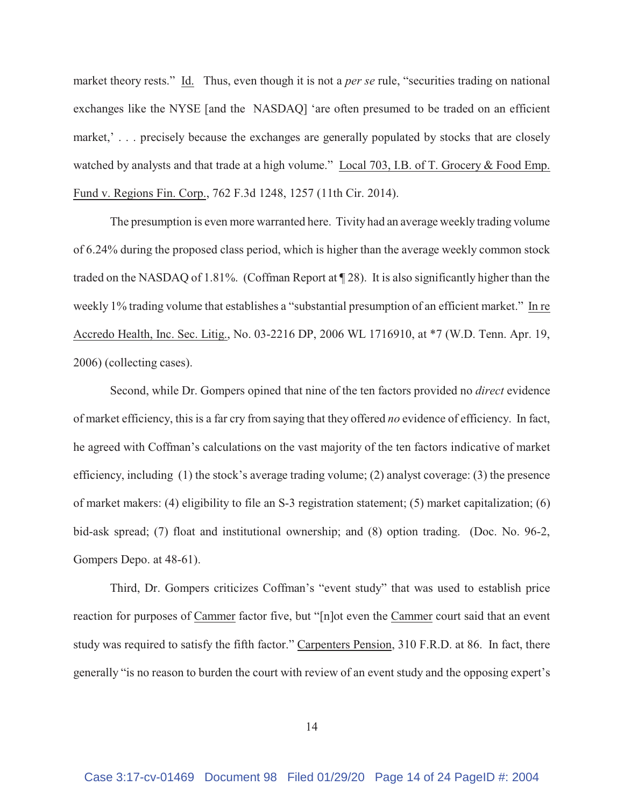market theory rests." Id. Thus, even though it is not a *per se* rule, "securities trading on national exchanges like the NYSE [and the NASDAQ] 'are often presumed to be traded on an efficient market,'... precisely because the exchanges are generally populated by stocks that are closely watched by analysts and that trade at a high volume." Local 703, I.B. of T. Grocery & Food Emp. Fund v. Regions Fin. Corp., 762 F.3d 1248, 1257 (11th Cir. 2014).

The presumption is even more warranted here. Tivity had an average weekly trading volume of 6.24% during the proposed class period, which is higher than the average weekly common stock traded on the NASDAQ of 1.81%. (Coffman Report at ¶ 28). It is also significantly higher than the weekly 1% trading volume that establishes a "substantial presumption of an efficient market." In re Accredo Health, Inc. Sec. Litig., No. 03-2216 DP, 2006 WL 1716910, at \*7 (W.D. Tenn. Apr. 19, 2006) (collecting cases).

Second, while Dr. Gompers opined that nine of the ten factors provided no *direct* evidence of market efficiency, this is a far cry from saying that they offered *no* evidence of efficiency. In fact, he agreed with Coffman's calculations on the vast majority of the ten factors indicative of market efficiency, including (1) the stock's average trading volume; (2) analyst coverage: (3) the presence of market makers: (4) eligibility to file an S-3 registration statement; (5) market capitalization; (6) bid-ask spread; (7) float and institutional ownership; and (8) option trading. (Doc. No. 96-2, Gompers Depo. at 48-61).

Third, Dr. Gompers criticizes Coffman's "event study" that was used to establish price reaction for purposes of Cammer factor five, but "[n]ot even the Cammer court said that an event study was required to satisfy the fifth factor." Carpenters Pension, 310 F.R.D. at 86. In fact, there generally "is no reason to burden the court with review of an event study and the opposing expert's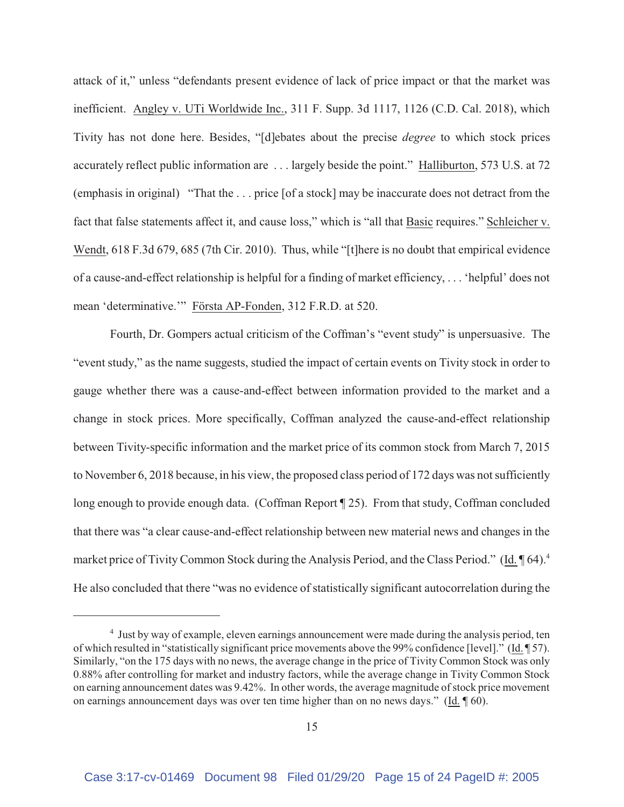attack of it," unless "defendants present evidence of lack of price impact or that the market was inefficient. Angley v. UTi Worldwide Inc., 311 F. Supp. 3d 1117, 1126 (C.D. Cal. 2018), which Tivity has not done here. Besides, "[d]ebates about the precise *degree* to which stock prices accurately reflect public information are . . . largely beside the point." Halliburton, 573 U.S. at 72 (emphasis in original) "That the . . . price [of a stock] may be inaccurate does not detract from the fact that false statements affect it, and cause loss," which is "all that Basic requires." Schleicher v. Wendt, 618 F.3d 679, 685 (7th Cir. 2010). Thus, while "[t]here is no doubt that empirical evidence of a cause-and-effect relationship is helpful for a finding of market efficiency, . . . 'helpful' does not mean 'determinative.'" Första AP-Fonden, 312 F.R.D. at 520.

Fourth, Dr. Gompers actual criticism of the Coffman's "event study" is unpersuasive. The "event study," as the name suggests, studied the impact of certain events on Tivity stock in order to gauge whether there was a cause-and-effect between information provided to the market and a change in stock prices. More specifically, Coffman analyzed the cause-and-effect relationship between Tivity-specific information and the market price of its common stock from March 7, 2015 to November 6, 2018 because, in his view, the proposed class period of 172 days was not sufficiently long enough to provide enough data. (Coffman Report ¶ 25). From that study, Coffman concluded that there was "a clear cause-and-effect relationship between new material news and changes in the market price of Tivity Common Stock during the Analysis Period, and the Class Period." (Id. 164).<sup>4</sup> He also concluded that there "was no evidence of statistically significant autocorrelation during the

<sup>&</sup>lt;sup>4</sup> Just by way of example, eleven earnings announcement were made during the analysis period, ten of which resulted in "statistically significant price movements above the 99% confidence [level]." (Id. ¶ 57). Similarly, "on the 175 days with no news, the average change in the price of Tivity Common Stock was only 0.88% after controlling for market and industry factors, while the average change in Tivity Common Stock on earning announcement dates was 9.42%. In other words, the average magnitude of stock price movement on earnings announcement days was over ten time higher than on no news days." (Id. ¶ 60).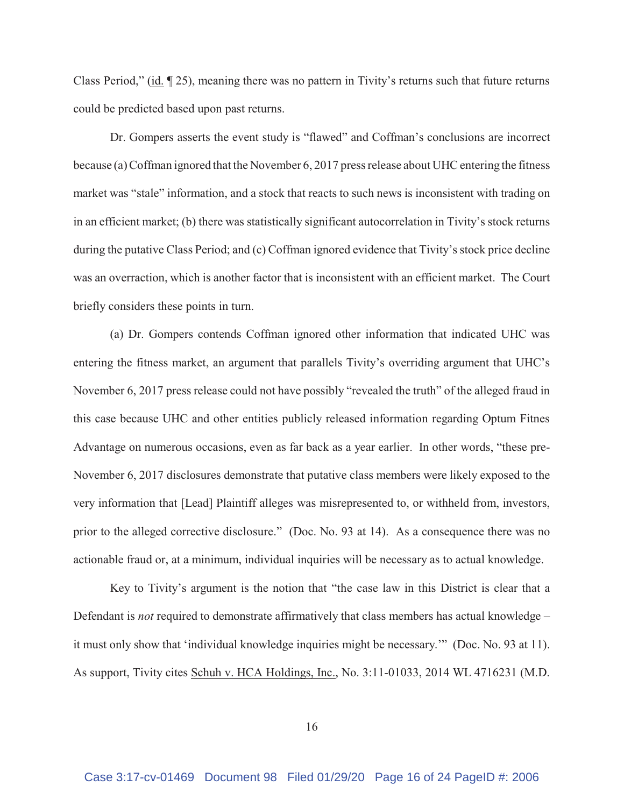Class Period," (id. ¶ 25), meaning there was no pattern in Tivity's returns such that future returns could be predicted based upon past returns.

Dr. Gompers asserts the event study is "flawed" and Coffman's conclusions are incorrect because (a) Coffman ignored that the November 6, 2017 press release about UHC entering the fitness market was "stale" information, and a stock that reacts to such news is inconsistent with trading on in an efficient market; (b) there was statistically significant autocorrelation in Tivity's stock returns during the putative Class Period; and (c) Coffman ignored evidence that Tivity's stock price decline was an overraction, which is another factor that is inconsistent with an efficient market. The Court briefly considers these points in turn.

(a) Dr. Gompers contends Coffman ignored other information that indicated UHC was entering the fitness market, an argument that parallels Tivity's overriding argument that UHC's November 6, 2017 press release could not have possibly "revealed the truth" of the alleged fraud in this case because UHC and other entities publicly released information regarding Optum Fitnes Advantage on numerous occasions, even as far back as a year earlier. In other words, "these pre-November 6, 2017 disclosures demonstrate that putative class members were likely exposed to the very information that [Lead] Plaintiff alleges was misrepresented to, or withheld from, investors, prior to the alleged corrective disclosure." (Doc. No. 93 at 14). As a consequence there was no actionable fraud or, at a minimum, individual inquiries will be necessary as to actual knowledge.

Key to Tivity's argument is the notion that "the case law in this District is clear that a Defendant is *not* required to demonstrate affirmatively that class members has actual knowledge – it must only show that 'individual knowledge inquiries might be necessary.'" (Doc. No. 93 at 11). As support, Tivity cites Schuh v. HCA Holdings, Inc., No. 3:11-01033, 2014 WL 4716231 (M.D.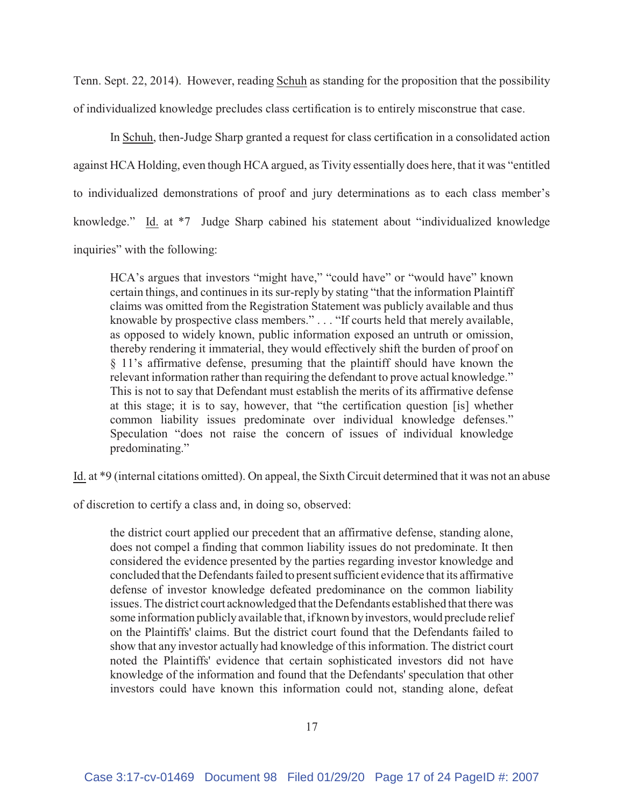Tenn. Sept. 22, 2014). However, reading Schuh as standing for the proposition that the possibility of individualized knowledge precludes class certification is to entirely misconstrue that case.

In Schuh, then-Judge Sharp granted a request for class certification in a consolidated action against HCA Holding, even though HCA argued, as Tivity essentially does here, that it was "entitled to individualized demonstrations of proof and jury determinations as to each class member's knowledge." Id. at \*7 Judge Sharp cabined his statement about "individualized knowledge inquiries" with the following:

HCA's argues that investors "might have," "could have" or "would have" known certain things, and continues in its sur-reply by stating "that the information Plaintiff claims was omitted from the Registration Statement was publicly available and thus knowable by prospective class members." . . . "If courts held that merely available, as opposed to widely known, public information exposed an untruth or omission, thereby rendering it immaterial, they would effectively shift the burden of proof on § 11's affirmative defense, presuming that the plaintiff should have known the relevant information rather than requiring the defendant to prove actual knowledge." This is not to say that Defendant must establish the merits of its affirmative defense at this stage; it is to say, however, that "the certification question [is] whether common liability issues predominate over individual knowledge defenses." Speculation "does not raise the concern of issues of individual knowledge predominating."

Id. at \*9 (internal citations omitted). On appeal, the Sixth Circuit determined that it was not an abuse

of discretion to certify a class and, in doing so, observed:

the district court applied our precedent that an affirmative defense, standing alone, does not compel a finding that common liability issues do not predominate. It then considered the evidence presented by the parties regarding investor knowledge and concluded that the Defendants failed to present sufficient evidence that its affirmative defense of investor knowledge defeated predominance on the common liability issues. The district court acknowledged that the Defendants established that there was some information publicly available that, if known by investors, would preclude relief on the Plaintiffs' claims. But the district court found that the Defendants failed to show that any investor actually had knowledge of this information. The district court noted the Plaintiffs' evidence that certain sophisticated investors did not have knowledge of the information and found that the Defendants' speculation that other investors could have known this information could not, standing alone, defeat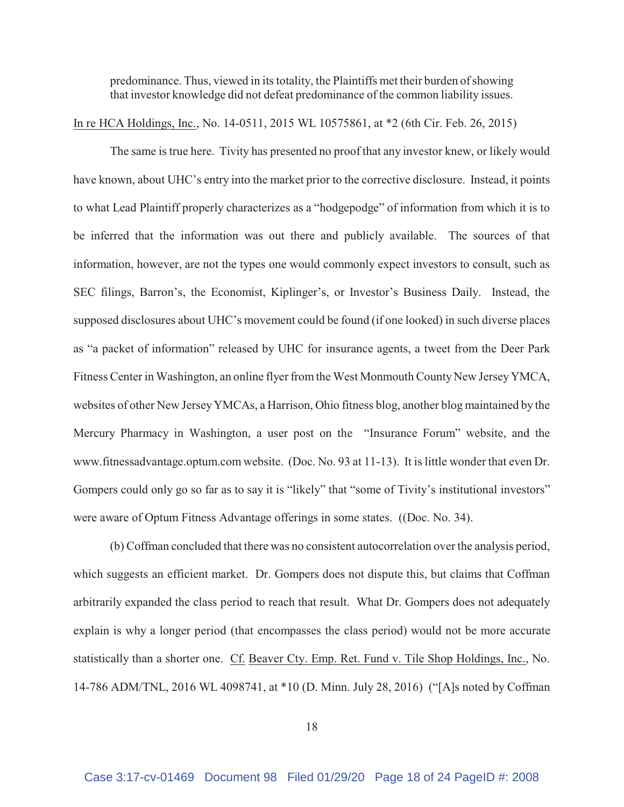predominance. Thus, viewed in its totality, the Plaintiffs met their burden of showing that investor knowledge did not defeat predominance of the common liability issues.

In re HCA Holdings, Inc., No. 14-0511, 2015 WL 10575861, at \*2 (6th Cir. Feb. 26, 2015)

The same is true here. Tivity has presented no proof that any investor knew, or likely would have known, about UHC's entry into the market prior to the corrective disclosure. Instead, it points to what Lead Plaintiff properly characterizes as a "hodgepodge" of information from which it is to be inferred that the information was out there and publicly available. The sources of that information, however, are not the types one would commonly expect investors to consult, such as SEC filings, Barron's, the Economist, Kiplinger's, or Investor's Business Daily. Instead, the supposed disclosures about UHC's movement could be found (if one looked) in such diverse places as "a packet of information" released by UHC for insurance agents, a tweet from the Deer Park Fitness Center in Washington, an online flyer from the West Monmouth County New Jersey YMCA, websites of other New Jersey YMCAs, a Harrison, Ohio fitness blog, another blog maintained by the Mercury Pharmacy in Washington, a user post on the "Insurance Forum" website, and the www.fitnessadvantage.optum.com website. (Doc. No. 93 at 11-13). It is little wonder that even Dr. Gompers could only go so far as to say it is "likely" that "some of Tivity's institutional investors" were aware of Optum Fitness Advantage offerings in some states. ((Doc. No. 34).

(b) Coffman concluded that there was no consistent autocorrelation over the analysis period, which suggests an efficient market. Dr. Gompers does not dispute this, but claims that Coffman arbitrarily expanded the class period to reach that result. What Dr. Gompers does not adequately explain is why a longer period (that encompasses the class period) would not be more accurate statistically than a shorter one. Cf. Beaver Cty. Emp. Ret. Fund v. Tile Shop Holdings, Inc., No. 14-786 ADM/TNL, 2016 WL 4098741, at \*10 (D. Minn. July 28, 2016) ("[A]s noted by Coffman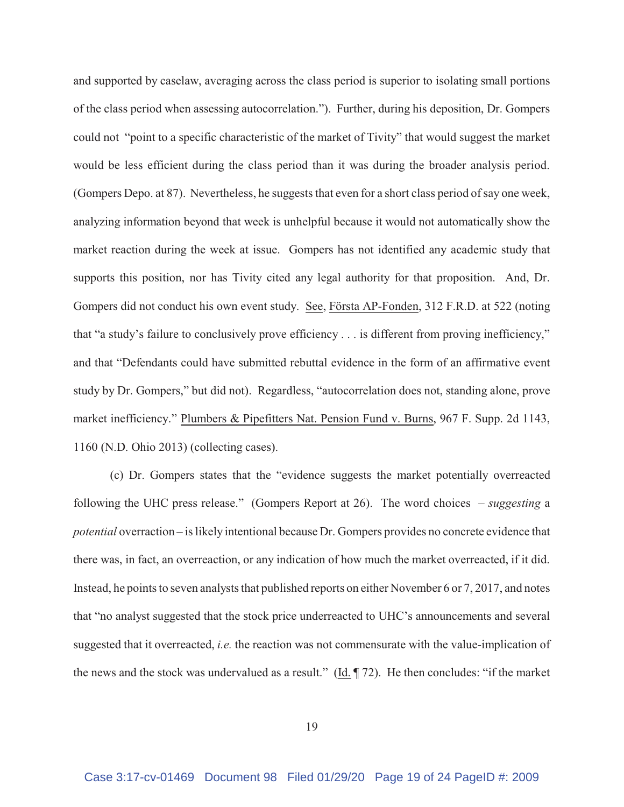and supported by caselaw, averaging across the class period is superior to isolating small portions of the class period when assessing autocorrelation."). Further, during his deposition, Dr. Gompers could not "point to a specific characteristic of the market of Tivity" that would suggest the market would be less efficient during the class period than it was during the broader analysis period. (Gompers Depo. at 87). Nevertheless, he suggests that even for a short class period of say one week, analyzing information beyond that week is unhelpful because it would not automatically show the market reaction during the week at issue. Gompers has not identified any academic study that supports this position, nor has Tivity cited any legal authority for that proposition. And, Dr. Gompers did not conduct his own event study. See, Första AP-Fonden, 312 F.R.D. at 522 (noting that "a study's failure to conclusively prove efficiency . . . is different from proving inefficiency," and that "Defendants could have submitted rebuttal evidence in the form of an affirmative event study by Dr. Gompers," but did not). Regardless, "autocorrelation does not, standing alone, prove market inefficiency." Plumbers & Pipefitters Nat. Pension Fund v. Burns, 967 F. Supp. 2d 1143, 1160 (N.D. Ohio 2013) (collecting cases).

(c) Dr. Gompers states that the "evidence suggests the market potentially overreacted following the UHC press release." (Gompers Report at 26). The word choices – *suggesting* a *potential* overraction – is likely intentional because Dr. Gompers provides no concrete evidence that there was, in fact, an overreaction, or any indication of how much the market overreacted, if it did. Instead, he points to seven analysts that published reports on either November 6 or 7, 2017, and notes that "no analyst suggested that the stock price underreacted to UHC's announcements and several suggested that it overreacted, *i.e.* the reaction was not commensurate with the value-implication of the news and the stock was undervalued as a result." (Id. ¶ 72). He then concludes: "if the market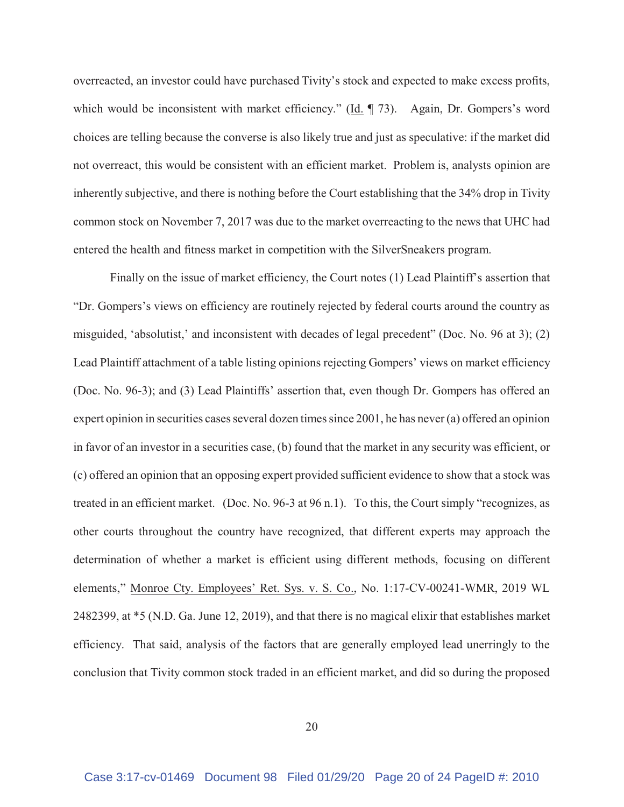overreacted, an investor could have purchased Tivity's stock and expected to make excess profits, which would be inconsistent with market efficiency." (Id.  $\P$  73). Again, Dr. Gompers's word choices are telling because the converse is also likely true and just as speculative: if the market did not overreact, this would be consistent with an efficient market. Problem is, analysts opinion are inherently subjective, and there is nothing before the Court establishing that the 34% drop in Tivity common stock on November 7, 2017 was due to the market overreacting to the news that UHC had entered the health and fitness market in competition with the SilverSneakers program.

Finally on the issue of market efficiency, the Court notes (1) Lead Plaintiff's assertion that "Dr. Gompers's views on efficiency are routinely rejected by federal courts around the country as misguided, 'absolutist,' and inconsistent with decades of legal precedent" (Doc. No. 96 at 3); (2) Lead Plaintiff attachment of a table listing opinions rejecting Gompers' views on market efficiency (Doc. No. 96-3); and (3) Lead Plaintiffs' assertion that, even though Dr. Gompers has offered an expert opinion in securities cases several dozen times since 2001, he has never (a) offered an opinion in favor of an investor in a securities case, (b) found that the market in any security was efficient, or (c) offered an opinion that an opposing expert provided sufficient evidence to show that a stock was treated in an efficient market. (Doc. No. 96-3 at 96 n.1). To this, the Court simply "recognizes, as other courts throughout the country have recognized, that different experts may approach the determination of whether a market is efficient using different methods, focusing on different elements," Monroe Cty. Employees' Ret. Sys. v. S. Co., No. 1:17-CV-00241-WMR, 2019 WL 2482399, at \*5 (N.D. Ga. June 12, 2019), and that there is no magical elixir that establishes market efficiency. That said, analysis of the factors that are generally employed lead unerringly to the conclusion that Tivity common stock traded in an efficient market, and did so during the proposed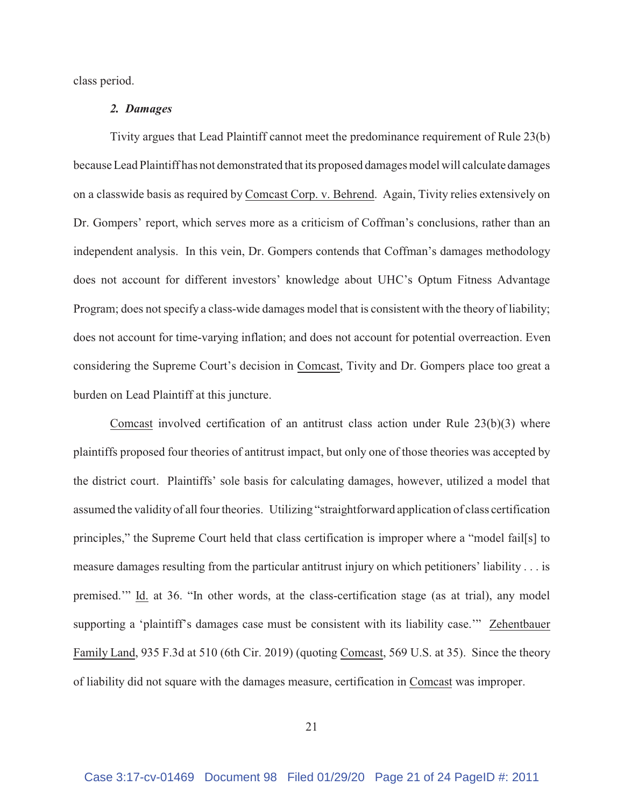class period.

# *2. Damages*

Tivity argues that Lead Plaintiff cannot meet the predominance requirement of Rule 23(b) because Lead Plaintiff has not demonstrated that its proposed damages model will calculate damages on a classwide basis as required by Comcast Corp. v. Behrend. Again, Tivity relies extensively on Dr. Gompers' report, which serves more as a criticism of Coffman's conclusions, rather than an independent analysis. In this vein, Dr. Gompers contends that Coffman's damages methodology does not account for different investors' knowledge about UHC's Optum Fitness Advantage Program; does not specify a class-wide damages model that is consistent with the theory of liability; does not account for time-varying inflation; and does not account for potential overreaction. Even considering the Supreme Court's decision in Comcast, Tivity and Dr. Gompers place too great a burden on Lead Plaintiff at this juncture.

Comcast involved certification of an antitrust class action under Rule 23(b)(3) where plaintiffs proposed four theories of antitrust impact, but only one of those theories was accepted by the district court. Plaintiffs' sole basis for calculating damages, however, utilized a model that assumed the validity of all four theories. Utilizing "straightforward application of class certification principles," the Supreme Court held that class certification is improper where a "model fail[s] to measure damages resulting from the particular antitrust injury on which petitioners' liability . . . is premised.'" Id. at 36. "In other words, at the class-certification stage (as at trial), any model supporting a 'plaintiff's damages case must be consistent with its liability case.'" Zehentbauer Family Land, 935 F.3d at 510 (6th Cir. 2019) (quoting Comcast, 569 U.S. at 35). Since the theory of liability did not square with the damages measure, certification in Comcast was improper.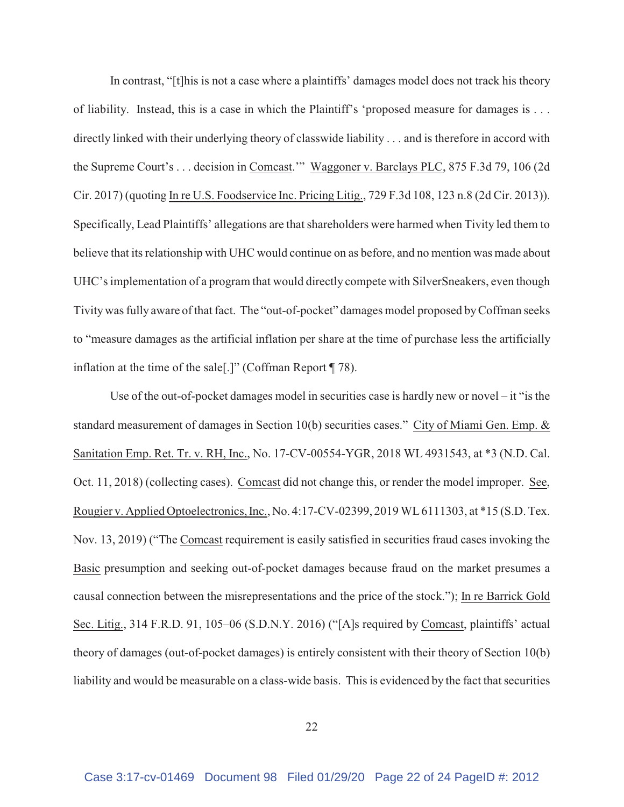In contrast, "[t]his is not a case where a plaintiffs' damages model does not track his theory of liability. Instead, this is a case in which the Plaintiff's 'proposed measure for damages is . . . directly linked with their underlying theory of classwide liability . . . and is therefore in accord with the Supreme Court's . . . decision in Comcast.'" Waggoner v. Barclays PLC, 875 F.3d 79, 106 (2d Cir. 2017) (quoting In re U.S. Foodservice Inc. Pricing Litig., 729 F.3d 108, 123 n.8 (2d Cir. 2013)). Specifically, Lead Plaintiffs' allegations are that shareholders were harmed when Tivity led them to believe that its relationship with UHC would continue on as before, and no mention was made about UHC's implementation of a program that would directly compete with SilverSneakers, even though Tivity was fully aware of that fact. The "out-of-pocket" damages model proposed by Coffman seeks to "measure damages as the artificial inflation per share at the time of purchase less the artificially inflation at the time of the sale[.]" (Coffman Report ¶ 78).

Use of the out-of-pocket damages model in securities case is hardly new or novel  $-$  it "is the standard measurement of damages in Section 10(b) securities cases." City of Miami Gen. Emp. & Sanitation Emp. Ret. Tr. v. RH, Inc., No. 17-CV-00554-YGR, 2018 WL 4931543, at \*3 (N.D. Cal. Oct. 11, 2018) (collecting cases). Comcast did not change this, or render the model improper. See, Rougier v. Applied Optoelectronics, Inc., No. 4:17-CV-02399, 2019 WL 6111303, at \*15 (S.D. Tex. Nov. 13, 2019) ("The Comcast requirement is easily satisfied in securities fraud cases invoking the Basic presumption and seeking out-of-pocket damages because fraud on the market presumes a causal connection between the misrepresentations and the price of the stock."); In re Barrick Gold Sec. Litig., 314 F.R.D. 91, 105–06 (S.D.N.Y. 2016) ("[A]s required by Comcast, plaintiffs' actual theory of damages (out-of-pocket damages) is entirely consistent with their theory of Section 10(b) liability and would be measurable on a class-wide basis. This is evidenced by the fact that securities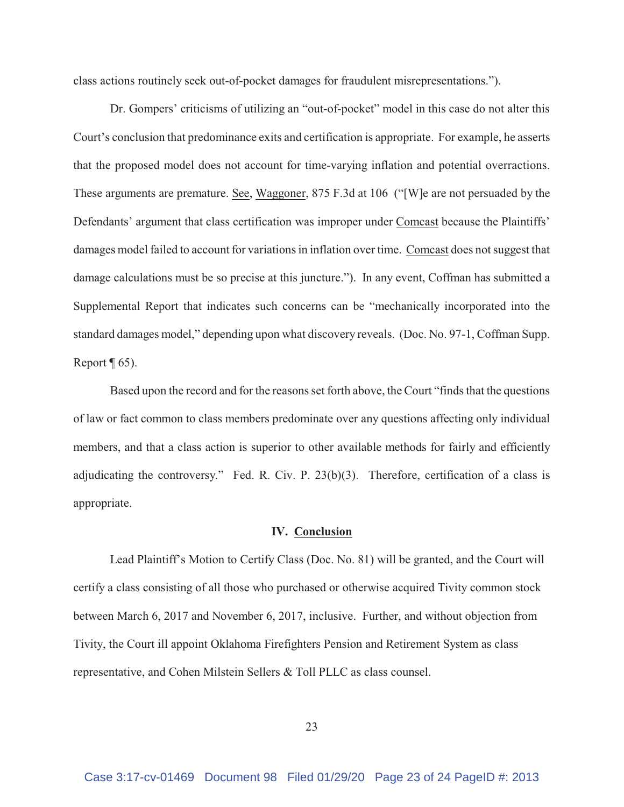class actions routinely seek out-of-pocket damages for fraudulent misrepresentations.").

Dr. Gompers' criticisms of utilizing an "out-of-pocket" model in this case do not alter this Court's conclusion that predominance exits and certification is appropriate. For example, he asserts that the proposed model does not account for time-varying inflation and potential overractions. These arguments are premature. See, Waggoner, 875 F.3d at 106 ("[W]e are not persuaded by the Defendants' argument that class certification was improper under Comcast because the Plaintiffs' damages model failed to account for variations in inflation over time. Comcast does not suggest that damage calculations must be so precise at this juncture."). In any event, Coffman has submitted a Supplemental Report that indicates such concerns can be "mechanically incorporated into the standard damages model," depending upon what discovery reveals. (Doc. No. 97-1, Coffman Supp. Report  $\P$  65).

Based upon the record and for the reasons set forth above, the Court "finds that the questions of law or fact common to class members predominate over any questions affecting only individual members, and that a class action is superior to other available methods for fairly and efficiently adjudicating the controversy." Fed. R. Civ. P. 23(b)(3). Therefore, certification of a class is appropriate.

#### **IV. Conclusion**

Lead Plaintiff's Motion to Certify Class (Doc. No. 81) will be granted, and the Court will certify a class consisting of all those who purchased or otherwise acquired Tivity common stock between March 6, 2017 and November 6, 2017, inclusive. Further, and without objection from Tivity, the Court ill appoint Oklahoma Firefighters Pension and Retirement System as class representative, and Cohen Milstein Sellers & Toll PLLC as class counsel.